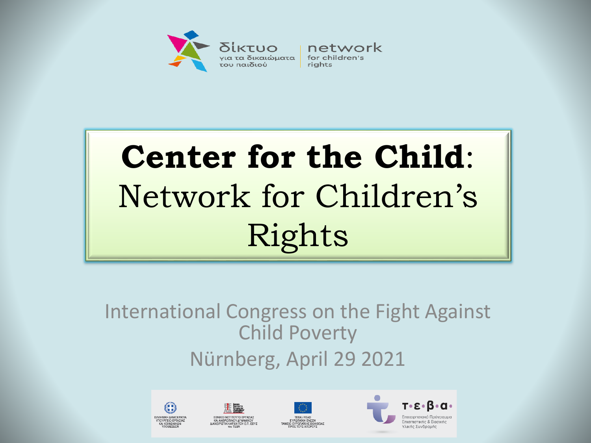

network rights

# **Center for the Child**: Network for Children's Rights

International Congress on the Fight Against Child Poverty Nürnberg, April 29 2021





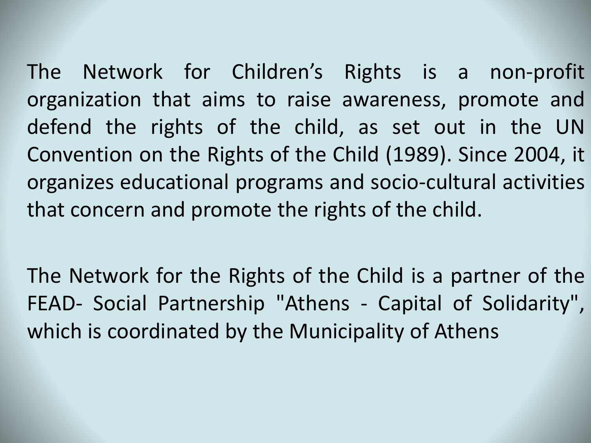The Network for Children's Rights is a non-profit organization that aims to raise awareness, promote and defend the rights of the child, as set out in the UN Convention on the Rights of the Child (1989). Since 2004, it organizes educational programs and socio-cultural activities that concern and promote the rights of the child.

The Network for the Rights of the Child is a partner of the FEAD- Social Partnership "Athens - Capital of Solidarity", which is coordinated by the Municipality of Athens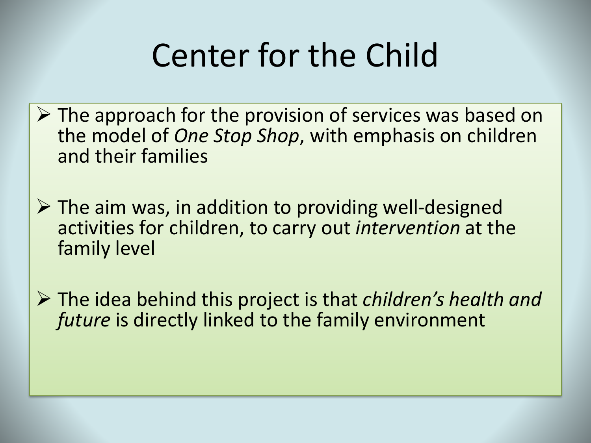# Center for the Child

- $\triangleright$  The approach for the provision of services was based on the model of *One Stop Shop*, with emphasis on children and their families
- $\triangleright$  The aim was, in addition to providing well-designed activities for children, to carry out *intervention* at the family level
- The idea behind this project is that *children's health and future* is directly linked to the family environment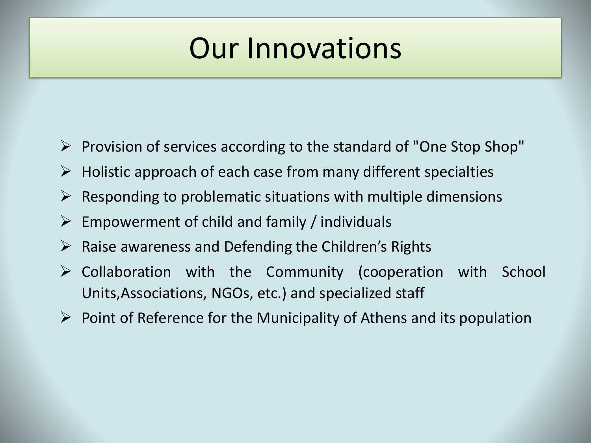### Our Innovations

- $\triangleright$  Provision of services according to the standard of "One Stop Shop"
- $\triangleright$  Holistic approach of each case from many different specialties
- $\triangleright$  Responding to problematic situations with multiple dimensions
- $\triangleright$  Empowerment of child and family / individuals
- $\triangleright$  Raise awareness and Defending the Children's Rights
- $\triangleright$  Collaboration with the Community (cooperation with School Units,Associations, NGOs, etc.) and specialized staff
- $\triangleright$  Point of Reference for the Municipality of Athens and its population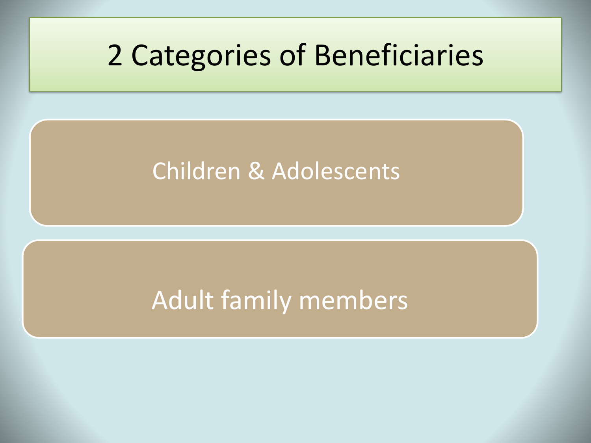### 2 Categories of Beneficiaries

#### Children & Adolescents

### Adult family members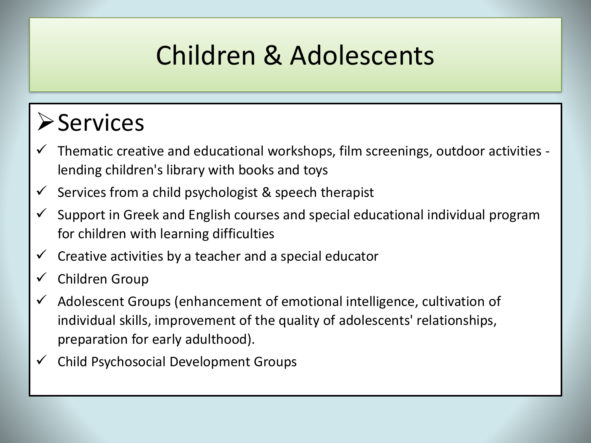### Children & Adolescents

#### **≻Services**

- Thematic creative and educational workshops, film screenings, outdoor activities lending children's library with books and toys
- Services from a child psychologist & speech therapist
- Support in Greek and English courses and special educational individual program for children with learning difficulties
- Creative activities by a teacher and a special educator
- Children Group
- Adolescent Groups (enhancement of emotional intelligence, cultivation of individual skills, improvement of the quality of adolescents' relationships, preparation for early adulthood).
- Child Psychosocial Development Groups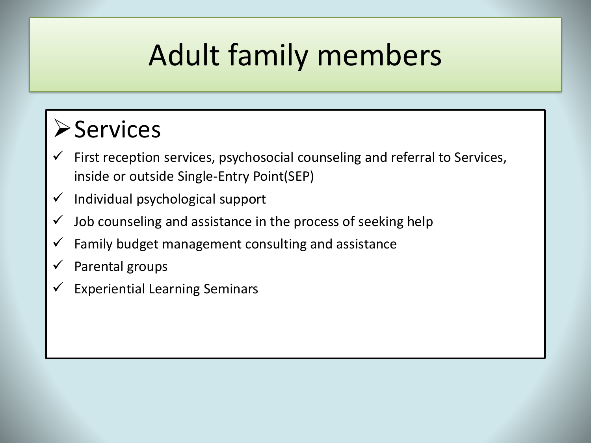## Adult family members

#### **≻Services**

- First reception services, psychosocial counseling and referral to Services, inside or outside Single-Entry Point(SEP)
- Individual psychological support
- Job counseling and assistance in the process of seeking help
- Family budget management consulting and assistance
- Parental groups
- Experiential Learning Seminars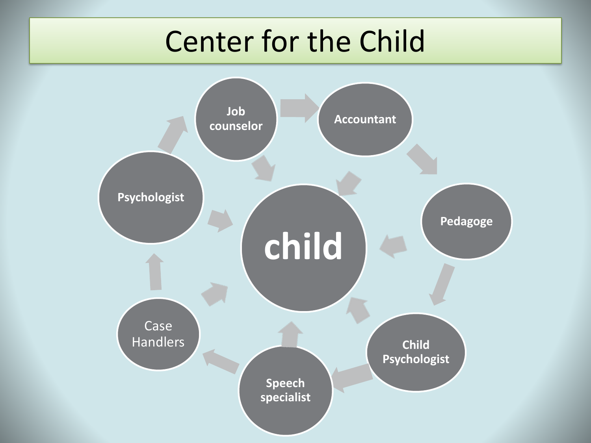### Center for the Child

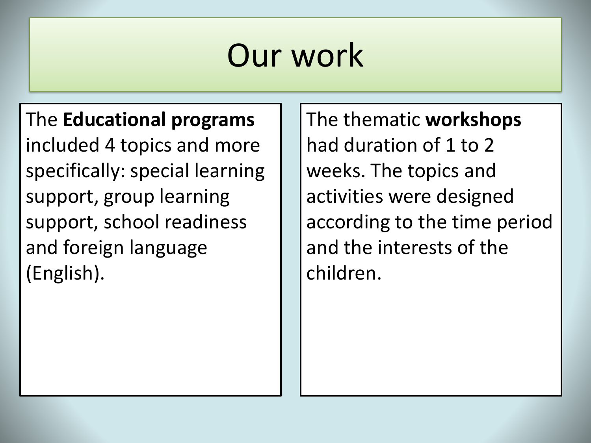#### The **Educational programs**  included 4 topics and more specifically: special learning support, group learning support, school readiness and foreign language (English).

The thematic **workshops** had duration of 1 to 2 weeks. The topics and activities were designed according to the time period and the interests of the children.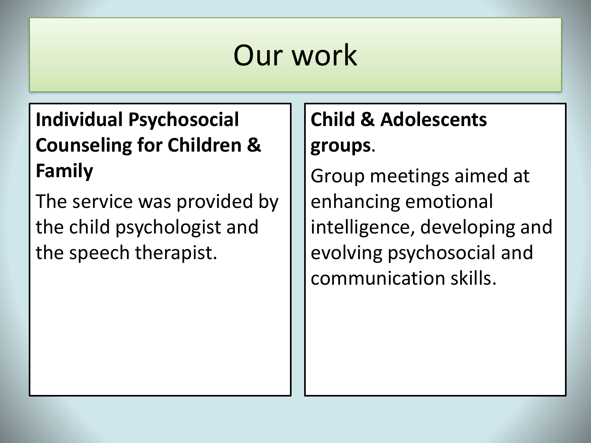#### **Individual Psychosocial Counseling for Children & Family**

The service was provided by the child psychologist and the speech therapist.

#### **Child & Adolescents groups**.

Group meetings aimed at enhancing emotional intelligence, developing and evolving psychosocial and communication skills.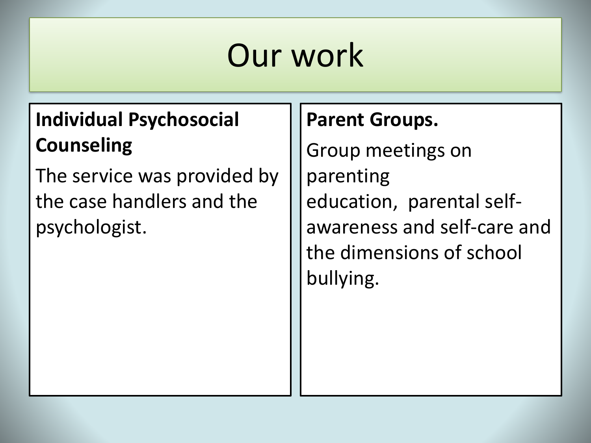#### **Individual Psychosocial Counseling**

The service was provided by the case handlers and the psychologist.

#### **Parent Groups.**

Group meetings on parenting education, parental selfawareness and self-care and the dimensions of school bullying.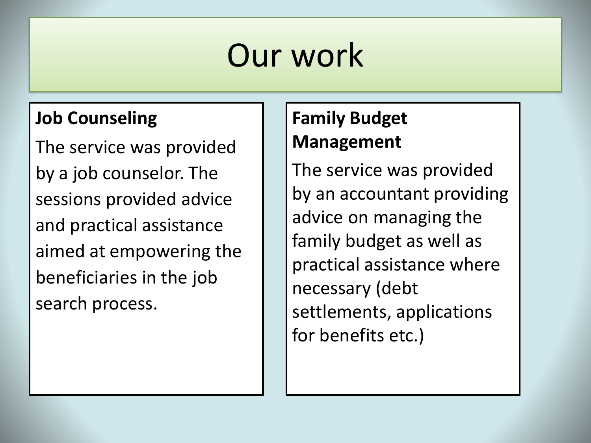#### **Job Counseling**

The service was provided by a job counselor. The sessions provided advice and practical assistance aimed at empowering the beneficiaries in the job search process.

#### **Family Budget Management**

The service was provided by an accountant providing advice on managing the family budget as well as practical assistance where necessary (debt settlements, applications for benefits etc.)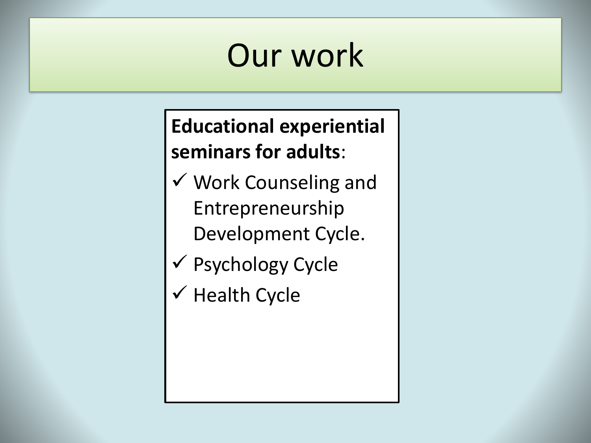#### **Educational experiential seminars for adults**:

- Work Counseling and Entrepreneurship Development Cycle.
- Psychology Cycle
- $\checkmark$  Health Cycle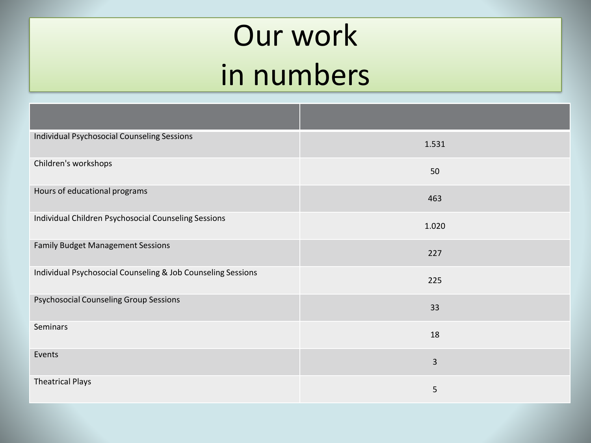## Our work in numbers

| <b>Individual Psychosocial Counseling Sessions</b>           | 1.531 |
|--------------------------------------------------------------|-------|
| Children's workshops                                         | 50    |
| Hours of educational programs                                | 463   |
| Individual Children Psychosocial Counseling Sessions         | 1.020 |
| <b>Family Budget Management Sessions</b>                     | 227   |
| Individual Psychosocial Counseling & Job Counseling Sessions | 225   |
| <b>Psychosocial Counseling Group Sessions</b>                | 33    |
| Seminars                                                     | 18    |
| Events                                                       | 3     |
| <b>Theatrical Plays</b>                                      | 5     |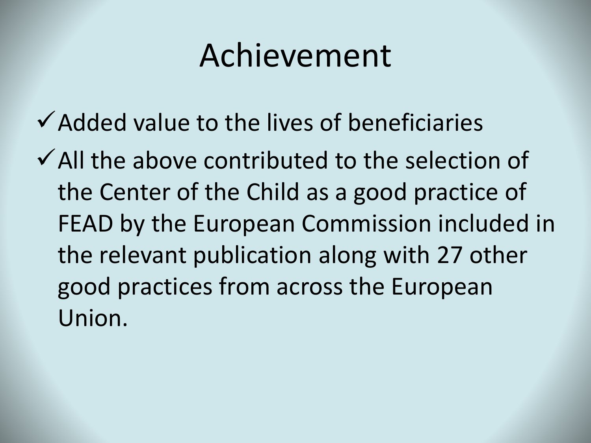### Achievement

- $\checkmark$  Added value to the lives of beneficiaries
- $\checkmark$  All the above contributed to the selection of the Center of the Child as a good practice of FEAD by the European Commission included in the relevant publication along with 27 other good practices from across the European Union.